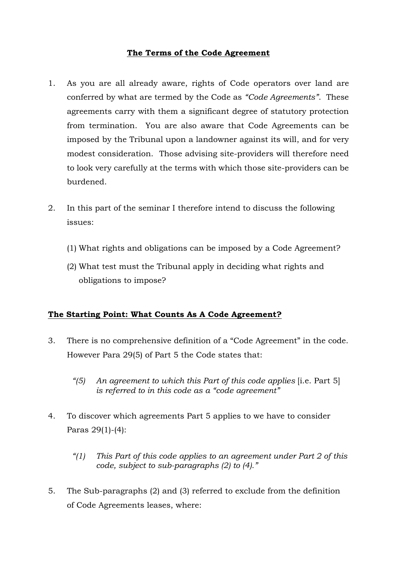## **The Terms of the Code Agreement**

- 1. As you are all already aware, rights of Code operators over land are conferred by what are termed by the Code as *"Code Agreements"*. These agreements carry with them a significant degree of statutory protection from termination. You are also aware that Code Agreements can be imposed by the Tribunal upon a landowner against its will, and for very modest consideration. Those advising site-providers will therefore need to look very carefully at the terms with which those site-providers can be burdened.
- 2. In this part of the seminar I therefore intend to discuss the following issues:
	- (1) What rights and obligations can be imposed by a Code Agreement?
	- (2) What test must the Tribunal apply in deciding what rights and obligations to impose?

## **The Starting Point: What Counts As A Code Agreement?**

- 3. There is no comprehensive definition of a "Code Agreement" in the code. However Para 29(5) of Part 5 the Code states that:
	- *"(5) An agreement to which this Part of this code applies* [i.e. Part 5] *is referred to in this code as a "code agreement"*
- 4. To discover which agreements Part 5 applies to we have to consider Paras 29(1)-(4):
	- *"(1) This Part of this code applies to an agreement under Part 2 of this code, subject to sub-paragraphs (2) to (4)."*
- 5. The Sub-paragraphs (2) and (3) referred to exclude from the definition of Code Agreements leases, where: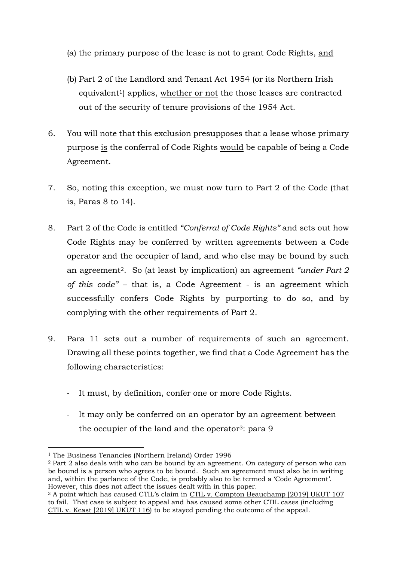- (a) the primary purpose of the lease is not to grant Code Rights, and
- (b) Part 2 of the Landlord and Tenant Act 1954 (or its Northern Irish equivalent<sup>1</sup>) applies, whether or not the those leases are contracted out of the security of tenure provisions of the 1954 Act.
- 6. You will note that this exclusion presupposes that a lease whose primary purpose is the conferral of Code Rights would be capable of being a Code Agreement.
- 7. So, noting this exception, we must now turn to Part 2 of the Code (that is, Paras 8 to 14).
- 8. Part 2 of the Code is entitled *"Conferral of Code Rights"* and sets out how Code Rights may be conferred by written agreements between a Code operator and the occupier of land, and who else may be bound by such an agreement2. So (at least by implication) an agreement *"under Part 2 of this code"* – that is, a Code Agreement - is an agreement which successfully confers Code Rights by purporting to do so, and by complying with the other requirements of Part 2.
- 9. Para 11 sets out a number of requirements of such an agreement. Drawing all these points together, we find that a Code Agreement has the following characteristics:
	- It must, by definition, confer one or more Code Rights.
	- It may only be conferred on an operator by an agreement between the occupier of the land and the operator<sup>3</sup>: para 9

**.** 

<sup>1</sup> The Business Tenancies (Northern Ireland) Order 1996

<sup>2</sup> Part 2 also deals with who can be bound by an agreement. On category of person who can be bound is a person who agrees to be bound. Such an agreement must also be in writing and, within the parlance of the Code, is probably also to be termed a 'Code Agreement'. However, this does not affect the issues dealt with in this paper.

<sup>&</sup>lt;sup>3</sup> A point which has caused CTIL's claim in CTIL v. Compton Beauchamp [2019] UKUT 107 to fail. That case is subject to appeal and has caused some other CTIL cases (including CTIL v. Keast [2019] UKUT 116) to be stayed pending the outcome of the appeal.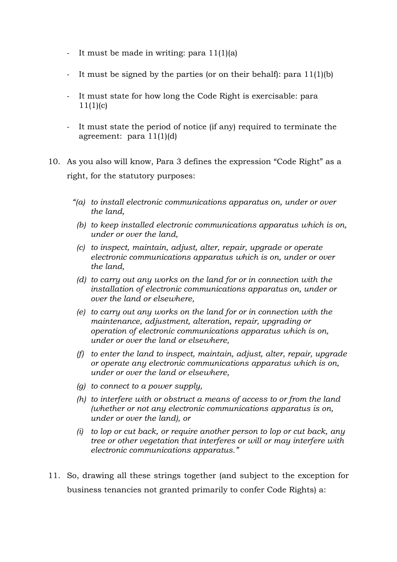- It must be made in writing: para 11(1)(a)
- It must be signed by the parties (or on their behalf): para  $11(1)(b)$
- It must state for how long the Code Right is exercisable: para  $11(1)(c)$
- It must state the period of notice (if any) required to terminate the agreement: para 11(1)(d)
- 10. As you also will know, Para 3 defines the expression "Code Right" as a right, for the statutory purposes:
	- *"(a) to install electronic communications apparatus on, under or over the land,*
	- *(b) to keep installed electronic communications apparatus which is on, under or over the land,*
	- *(c) to inspect, maintain, adjust, alter, repair, upgrade or operate electronic communications apparatus which is on, under or over the land,*
	- *(d) to carry out any works on the land for or in connection with the installation of electronic communications apparatus on, under or over the land or elsewhere,*
	- *(e) to carry out any works on the land for or in connection with the maintenance, adjustment, alteration, repair, upgrading or operation of electronic communications apparatus which is on, under or over the land or elsewhere,*
	- *(f) to enter the land to inspect, maintain, adjust, alter, repair, upgrade or operate any electronic communications apparatus which is on, under or over the land or elsewhere,*
	- *(g) to connect to a power supply,*
	- *(h) to interfere with or obstruct a means of access to or from the land (whether or not any electronic communications apparatus is on, under or over the land), or*
	- *(i) to lop or cut back, or require another person to lop or cut back, any tree or other vegetation that interferes or will or may interfere with electronic communications apparatus."*
- 11. So, drawing all these strings together (and subject to the exception for business tenancies not granted primarily to confer Code Rights) a: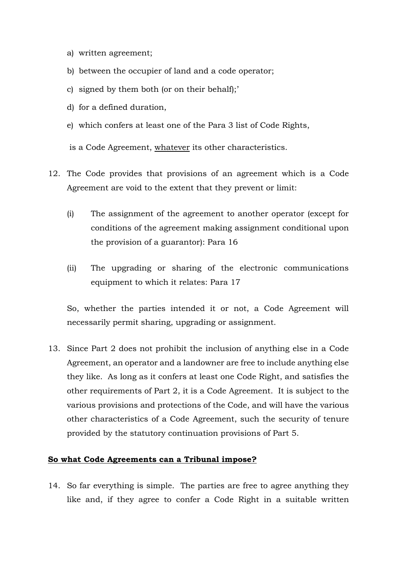- a) written agreement;
- b) between the occupier of land and a code operator;
- c) signed by them both (or on their behalf);'
- d) for a defined duration,
- e) which confers at least one of the Para 3 list of Code Rights,

is a Code Agreement, whatever its other characteristics.

- 12. The Code provides that provisions of an agreement which is a Code Agreement are void to the extent that they prevent or limit:
	- (i) The assignment of the agreement to another operator (except for conditions of the agreement making assignment conditional upon the provision of a guarantor): Para 16
	- (ii) The upgrading or sharing of the electronic communications equipment to which it relates: Para 17

So, whether the parties intended it or not, a Code Agreement will necessarily permit sharing, upgrading or assignment.

13. Since Part 2 does not prohibit the inclusion of anything else in a Code Agreement, an operator and a landowner are free to include anything else they like. As long as it confers at least one Code Right, and satisfies the other requirements of Part 2, it is a Code Agreement. It is subject to the various provisions and protections of the Code, and will have the various other characteristics of a Code Agreement, such the security of tenure provided by the statutory continuation provisions of Part 5.

#### **So what Code Agreements can a Tribunal impose?**

14. So far everything is simple. The parties are free to agree anything they like and, if they agree to confer a Code Right in a suitable written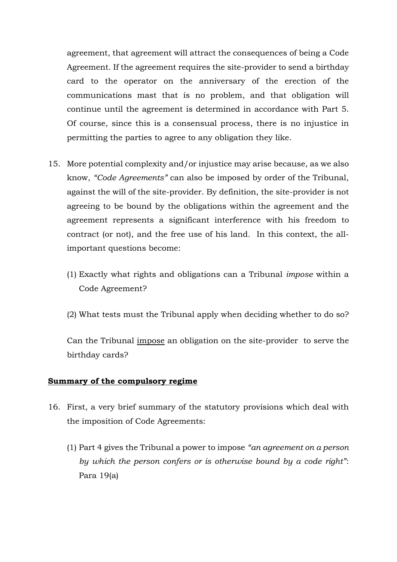agreement, that agreement will attract the consequences of being a Code Agreement. If the agreement requires the site-provider to send a birthday card to the operator on the anniversary of the erection of the communications mast that is no problem, and that obligation will continue until the agreement is determined in accordance with Part 5. Of course, since this is a consensual process, there is no injustice in permitting the parties to agree to any obligation they like.

- 15. More potential complexity and/or injustice may arise because, as we also know, *"Code Agreements"* can also be imposed by order of the Tribunal, against the will of the site-provider. By definition, the site-provider is not agreeing to be bound by the obligations within the agreement and the agreement represents a significant interference with his freedom to contract (or not), and the free use of his land. In this context, the allimportant questions become:
	- (1) Exactly what rights and obligations can a Tribunal *impose* within a Code Agreement?
	- (2) What tests must the Tribunal apply when deciding whether to do so?

Can the Tribunal impose an obligation on the site-provider to serve the birthday cards?

### **Summary of the compulsory regime**

- 16. First, a very brief summary of the statutory provisions which deal with the imposition of Code Agreements:
	- (1) Part 4 gives the Tribunal a power to impose *"an agreement on a person by which the person confers or is otherwise bound by a code right"*: Para 19(a)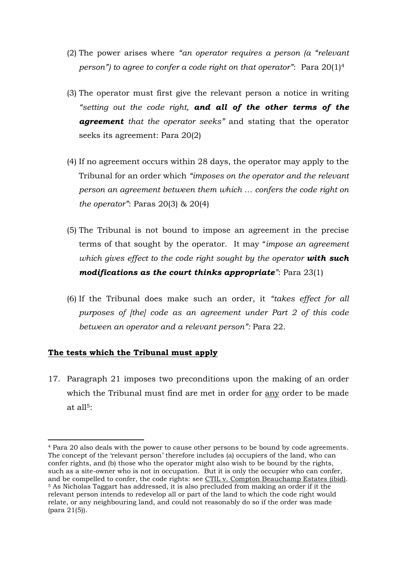- (2) The power arises where *"an operator requires a person (a "relevant person") to agree to confer a code right on that operator"*: Para 20(1)<sup>4</sup>
- (3) The operator must first give the relevant person a notice in writing *"setting out the code right, and all of the other terms of the agreement that the operator seeks"* and stating that the operator seeks its agreement: Para 20(2)
- (4) If no agreement occurs within 28 days, the operator may apply to the Tribunal for an order which *"imposes on the operator and the relevant person an agreement between them which … confers the code right on the operator"*: Paras 20(3) & 20(4)
- (5) The Tribunal is not bound to impose an agreement in the precise terms of that sought by the operator. It may "*impose an agreement which gives effect to the code right sought by the operator with such modifications as the court thinks appropriate"*: Para 23(1)
- (6) If the Tribunal does make such an order, it *"takes effect for all purposes of [the] code as an agreement under Part 2 of this code between an operator and a relevant person":* Para 22.

### **The tests which the Tribunal must apply**

**.** 

17. Paragraph 21 imposes two preconditions upon the making of an order which the Tribunal must find are met in order for any order to be made at  $a115$ :

<sup>4</sup> Para 20 also deals with the power to cause other persons to be bound by code agreements. The concept of the 'relevant person' therefore includes (a) occupiers of the land, who can confer rights, and (b) those who the operator might also wish to be bound by the rights, such as a site-owner who is not in occupation. But it is only the occupier who can confer, and be compelled to confer, the code rights: see CTIL v. Compton Beauchamp Estates (ibid). <sup>5</sup> As Nicholas Taggart has addressed, it is also precluded from making an order if it the relevant person intends to redevelop all or part of the land to which the code right would relate, or any neighbouring land, and could not reasonably do so if the order was made (para 21(5)).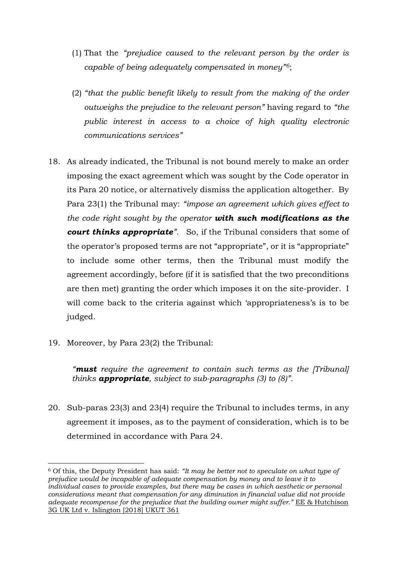- (1) That the *"prejudice caused to the relevant person by the order is capable of being adequately compensated in money"6*;
- (2) *"that the public benefit likely to result from the making of the order outweighs the prejudice to the relevant person"* having regard to *"the public interest in access to a choice of high quality electronic communications services"*
- 18. As already indicated, the Tribunal is not bound merely to make an order imposing the exact agreement which was sought by the Code operator in its Para 20 notice, or alternatively dismiss the application altogether. By Para 23(1) the Tribunal may: *"impose an agreement which gives effect to the code right sought by the operator with such modifications as the court thinks appropriate".* So, if the Tribunal considers that some of the operator's proposed terms are not "appropriate", or it is "appropriate" to include some other terms, then the Tribunal must modify the agreement accordingly, before (if it is satisfied that the two preconditions are then met) granting the order which imposes it on the site-provider. I will come back to the criteria against which 'appropriateness's is to be judged.
- 19. Moreover, by Para 23(2) the Tribunal:

**.** 

*"must require the agreement to contain such terms as the [Tribunal] thinks appropriate, subject to sub-paragraphs (3) to (8)".*

20. Sub-paras 23(3) and 23(4) require the Tribunal to includes terms, in any agreement it imposes, as to the payment of consideration, which is to be determined in accordance with Para 24.

<sup>6</sup> Of this, the Deputy President has said: *"It may be better not to speculate on what type of prejudice would be incapable of adequate compensation by money and to leave it to individual cases to provide examples, but there may be cases in which aesthetic or personal considerations meant that compensation for any diminution in financial value did not provide adequate recompense for the prejudice that the building owner might suffer."* EE & Hutchison 3G UK Ltd v. Islington [2018] UKUT 361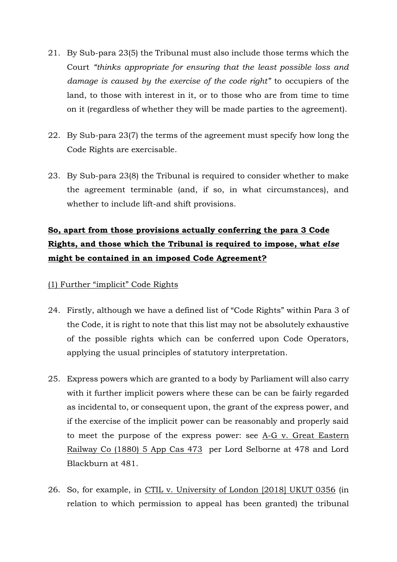- 21. By Sub-para 23(5) the Tribunal must also include those terms which the Court *"thinks appropriate for ensuring that the least possible loss and damage is caused by the exercise of the code right"* to occupiers of the land, to those with interest in it, or to those who are from time to time on it (regardless of whether they will be made parties to the agreement).
- 22. By Sub-para 23(7) the terms of the agreement must specify how long the Code Rights are exercisable.
- 23. By Sub-para 23(8) the Tribunal is required to consider whether to make the agreement terminable (and, if so, in what circumstances), and whether to include lift-and shift provisions.

# **So, apart from those provisions actually conferring the para 3 Code Rights, and those which the Tribunal is required to impose, what** *else* **might be contained in an imposed Code Agreement?**

## (1) Further "implicit" Code Rights

- 24. Firstly, although we have a defined list of "Code Rights" within Para 3 of the Code, it is right to note that this list may not be absolutely exhaustive of the possible rights which can be conferred upon Code Operators, applying the usual principles of statutory interpretation.
- 25. Express powers which are granted to a body by Parliament will also carry with it further implicit powers where these can be can be fairly regarded as incidental to, or consequent upon, the grant of the express power, and if the exercise of the implicit power can be reasonably and properly said to meet the purpose of the express power: see A-G v. Great Eastern Railway Co (1880) 5 App Cas 473 per Lord Selborne at 478 and Lord Blackburn at 481.
- 26. So, for example, in CTIL v. University of London [2018] UKUT 0356 (in relation to which permission to appeal has been granted) the tribunal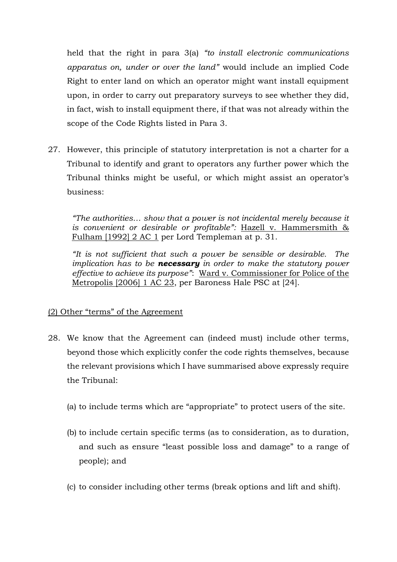held that the right in para 3(a) *"to install electronic communications apparatus on, under or over the land"* would include an implied Code Right to enter land on which an operator might want install equipment upon, in order to carry out preparatory surveys to see whether they did, in fact, wish to install equipment there, if that was not already within the scope of the Code Rights listed in Para 3.

27. However, this principle of statutory interpretation is not a charter for a Tribunal to identify and grant to operators any further power which the Tribunal thinks might be useful, or which might assist an operator's business:

*"The authorities… show that a power is not incidental merely because it is convenient or desirable or profitable":* Hazell v. Hammersmith & Fulham [1992] 2 AC 1 per Lord Templeman at p. 31.

*"It is not sufficient that such a power be sensible or desirable. The implication has to be necessary in order to make the statutory power effective to achieve its purpose"*: Ward v. Commissioner for Police of the Metropolis [2006] 1 AC 23, per Baroness Hale PSC at [24].

## (2) Other "terms" of the Agreement

- 28. We know that the Agreement can (indeed must) include other terms, beyond those which explicitly confer the code rights themselves, because the relevant provisions which I have summarised above expressly require the Tribunal:
	- (a) to include terms which are "appropriate" to protect users of the site.
	- (b) to include certain specific terms (as to consideration, as to duration, and such as ensure "least possible loss and damage" to a range of people); and
	- (c) to consider including other terms (break options and lift and shift).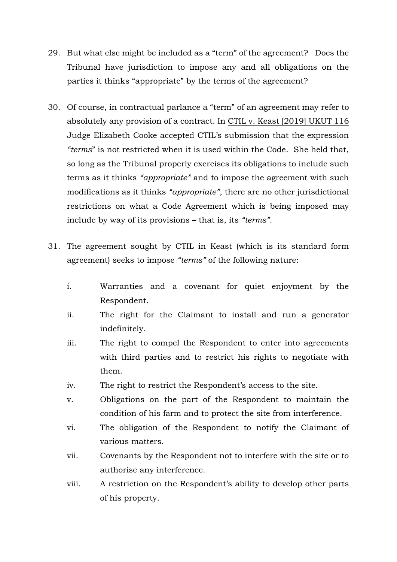- 29. But what else might be included as a "term" of the agreement? Does the Tribunal have jurisdiction to impose any and all obligations on the parties it thinks "appropriate" by the terms of the agreement?
- 30. Of course, in contractual parlance a "term" of an agreement may refer to absolutely any provision of a contract. In CTIL v. Keast [2019] UKUT 116 Judge Elizabeth Cooke accepted CTIL's submission that the expression *"terms*" is not restricted when it is used within the Code. She held that, so long as the Tribunal properly exercises its obligations to include such terms as it thinks *"appropriate"* and to impose the agreement with such modifications as it thinks *"appropriate"*, there are no other jurisdictional restrictions on what a Code Agreement which is being imposed may include by way of its provisions – that is, its *"terms"*.
- 31. The agreement sought by CTIL in Keast (which is its standard form agreement) seeks to impose *"terms"* of the following nature:
	- i. Warranties and a covenant for quiet enjoyment by the Respondent.
	- ii. The right for the Claimant to install and run a generator indefinitely.
	- iii. The right to compel the Respondent to enter into agreements with third parties and to restrict his rights to negotiate with them.
	- iv. The right to restrict the Respondent's access to the site.
	- v. Obligations on the part of the Respondent to maintain the condition of his farm and to protect the site from interference.
	- vi. The obligation of the Respondent to notify the Claimant of various matters.
	- vii. Covenants by the Respondent not to interfere with the site or to authorise any interference.
	- viii. A restriction on the Respondent's ability to develop other parts of his property.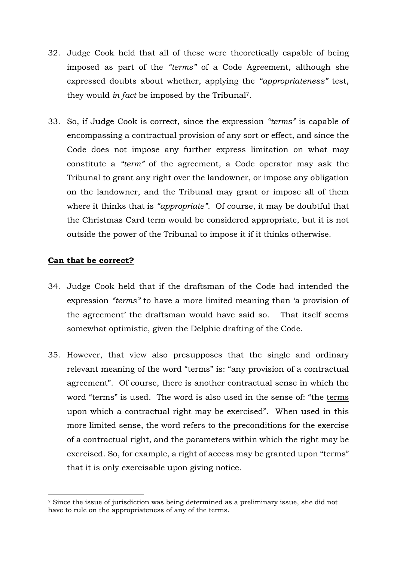- 32. Judge Cook held that all of these were theoretically capable of being imposed as part of the *"terms"* of a Code Agreement, although she expressed doubts about whether, applying the *"appropriateness"* test, they would *in fact* be imposed by the Tribunal7.
- 33. So, if Judge Cook is correct, since the expression *"terms"* is capable of encompassing a contractual provision of any sort or effect, and since the Code does not impose any further express limitation on what may constitute a *"term"* of the agreement, a Code operator may ask the Tribunal to grant any right over the landowner, or impose any obligation on the landowner, and the Tribunal may grant or impose all of them where it thinks that is *"appropriate"*. Of course, it may be doubtful that the Christmas Card term would be considered appropriate, but it is not outside the power of the Tribunal to impose it if it thinks otherwise.

### **Can that be correct?**

- 34. Judge Cook held that if the draftsman of the Code had intended the expression *"terms"* to have a more limited meaning than 'a provision of the agreement' the draftsman would have said so. That itself seems somewhat optimistic, given the Delphic drafting of the Code.
- 35. However, that view also presupposes that the single and ordinary relevant meaning of the word "terms" is: "any provision of a contractual agreement". Of course, there is another contractual sense in which the word "terms" is used. The word is also used in the sense of: "the terms upon which a contractual right may be exercised". When used in this more limited sense, the word refers to the preconditions for the exercise of a contractual right, and the parameters within which the right may be exercised. So, for example, a right of access may be granted upon "terms" that it is only exercisable upon giving notice.

**<sup>.</sup>** <sup>7</sup> Since the issue of jurisdiction was being determined as a preliminary issue, she did not have to rule on the appropriateness of any of the terms.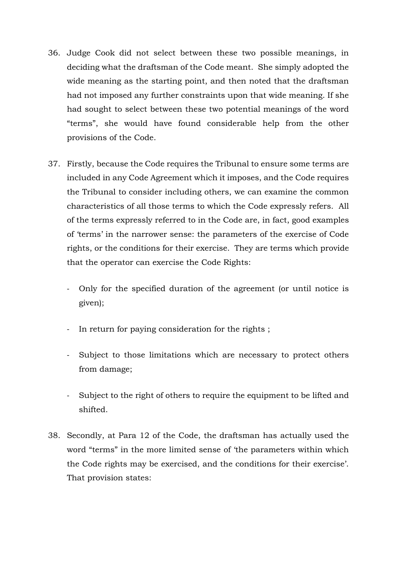- 36. Judge Cook did not select between these two possible meanings, in deciding what the draftsman of the Code meant. She simply adopted the wide meaning as the starting point, and then noted that the draftsman had not imposed any further constraints upon that wide meaning. If she had sought to select between these two potential meanings of the word "terms", she would have found considerable help from the other provisions of the Code.
- 37. Firstly, because the Code requires the Tribunal to ensure some terms are included in any Code Agreement which it imposes, and the Code requires the Tribunal to consider including others, we can examine the common characteristics of all those terms to which the Code expressly refers. All of the terms expressly referred to in the Code are, in fact, good examples of 'terms' in the narrower sense: the parameters of the exercise of Code rights, or the conditions for their exercise. They are terms which provide that the operator can exercise the Code Rights:
	- Only for the specified duration of the agreement (or until notice is given);
	- In return for paying consideration for the rights;
	- Subject to those limitations which are necessary to protect others from damage;
	- Subject to the right of others to require the equipment to be lifted and shifted.
- 38. Secondly, at Para 12 of the Code, the draftsman has actually used the word "terms" in the more limited sense of 'the parameters within which the Code rights may be exercised, and the conditions for their exercise'. That provision states: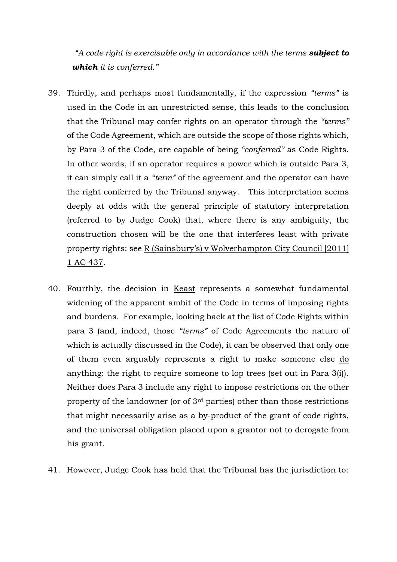*"A code right is exercisable only in accordance with the terms subject to which it is conferred."* 

- 39. Thirdly, and perhaps most fundamentally, if the expression *"terms"* is used in the Code in an unrestricted sense, this leads to the conclusion that the Tribunal may confer rights on an operator through the *"terms"* of the Code Agreement, which are outside the scope of those rights which, by Para 3 of the Code, are capable of being *"conferred"* as Code Rights. In other words, if an operator requires a power which is outside Para 3, it can simply call it a *"term"* of the agreement and the operator can have the right conferred by the Tribunal anyway. This interpretation seems deeply at odds with the general principle of statutory interpretation (referred to by Judge Cook) that, where there is any ambiguity, the construction chosen will be the one that interferes least with private property rights: see R (Sainsbury's) v Wolverhampton City Council [2011] 1 AC 437.
- 40. Fourthly, the decision in Keast represents a somewhat fundamental widening of the apparent ambit of the Code in terms of imposing rights and burdens. For example, looking back at the list of Code Rights within para 3 (and, indeed, those *"terms"* of Code Agreements the nature of which is actually discussed in the Code), it can be observed that only one of them even arguably represents a right to make someone else do anything: the right to require someone to lop trees (set out in Para 3(i)). Neither does Para 3 include any right to impose restrictions on the other property of the landowner (or of 3rd parties) other than those restrictions that might necessarily arise as a by-product of the grant of code rights, and the universal obligation placed upon a grantor not to derogate from his grant.
- 41. However, Judge Cook has held that the Tribunal has the jurisdiction to: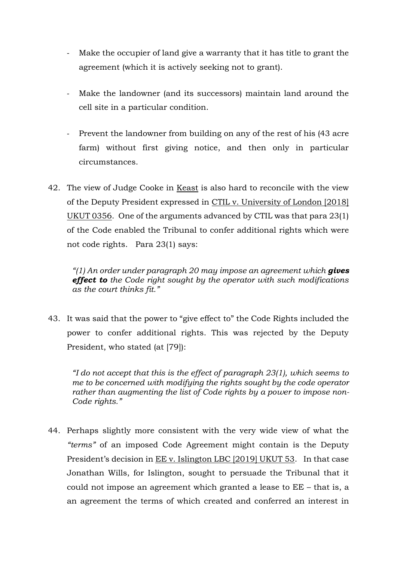- Make the occupier of land give a warranty that it has title to grant the agreement (which it is actively seeking not to grant).
- Make the landowner (and its successors) maintain land around the cell site in a particular condition.
- Prevent the landowner from building on any of the rest of his (43 acre farm) without first giving notice, and then only in particular circumstances.
- 42. The view of Judge Cooke in Keast is also hard to reconcile with the view of the Deputy President expressed in CTIL v. University of London [2018] UKUT 0356. One of the arguments advanced by CTIL was that para 23(1) of the Code enabled the Tribunal to confer additional rights which were not code rights. Para 23(1) says:

*"(1) An order under paragraph 20 may impose an agreement which gives effect to the Code right sought by the operator with such modifications as the court thinks fit."* 

43. It was said that the power to "give effect to" the Code Rights included the power to confer additional rights. This was rejected by the Deputy President, who stated (at [79]):

*"I do not accept that this is the effect of paragraph 23(1), which seems to me to be concerned with modifying the rights sought by the code operator rather than augmenting the list of Code rights by a power to impose non-Code rights."* 

44. Perhaps slightly more consistent with the very wide view of what the *"terms"* of an imposed Code Agreement might contain is the Deputy President's decision in EE v. Islington LBC [2019] UKUT 53. In that case Jonathan Wills, for Islington, sought to persuade the Tribunal that it could not impose an agreement which granted a lease to EE – that is, a an agreement the terms of which created and conferred an interest in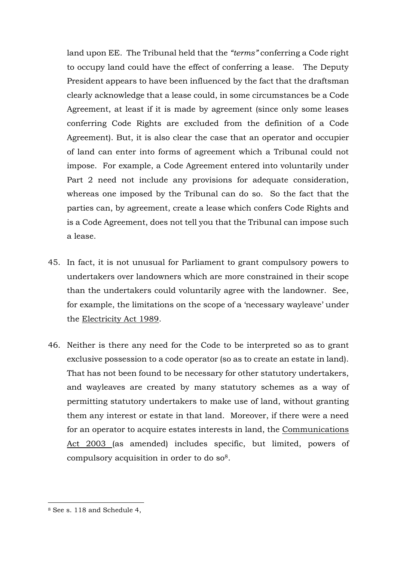land upon EE. The Tribunal held that the *"terms"* conferring a Code right to occupy land could have the effect of conferring a lease. The Deputy President appears to have been influenced by the fact that the draftsman clearly acknowledge that a lease could, in some circumstances be a Code Agreement, at least if it is made by agreement (since only some leases conferring Code Rights are excluded from the definition of a Code Agreement). But, it is also clear the case that an operator and occupier of land can enter into forms of agreement which a Tribunal could not impose. For example, a Code Agreement entered into voluntarily under Part 2 need not include any provisions for adequate consideration, whereas one imposed by the Tribunal can do so. So the fact that the parties can, by agreement, create a lease which confers Code Rights and is a Code Agreement, does not tell you that the Tribunal can impose such a lease.

- 45. In fact, it is not unusual for Parliament to grant compulsory powers to undertakers over landowners which are more constrained in their scope than the undertakers could voluntarily agree with the landowner. See, for example, the limitations on the scope of a 'necessary wayleave' under the Electricity Act 1989.
- 46. Neither is there any need for the Code to be interpreted so as to grant exclusive possession to a code operator (so as to create an estate in land). That has not been found to be necessary for other statutory undertakers, and wayleaves are created by many statutory schemes as a way of permitting statutory undertakers to make use of land, without granting them any interest or estate in that land. Moreover, if there were a need for an operator to acquire estates interests in land, the Communications Act 2003 (as amended) includes specific, but limited, powers of compulsory acquisition in order to do so<sup>8</sup>.

1

<sup>8</sup> See s. 118 and Schedule 4,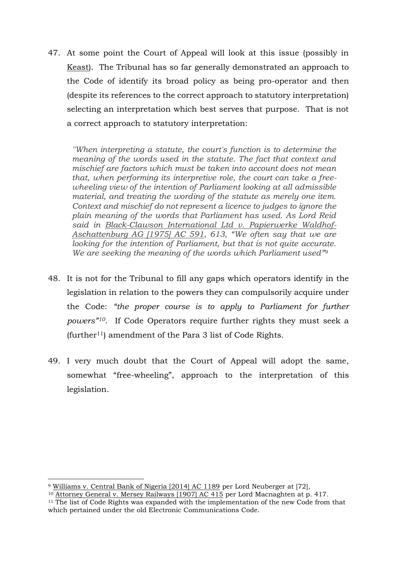47. At some point the Court of Appeal will look at this issue (possibly in Keast). The Tribunal has so far generally demonstrated an approach to the Code of identify its broad policy as being pro-operator and then (despite its references to the correct approach to statutory interpretation) selecting an interpretation which best serves that purpose. That is not a correct approach to statutory interpretation:

*''When interpreting a statute, the court's function is to determine the meaning of the words used in the statute. The fact that context and mischief are factors which must be taken into account does not mean that, when performing its interpretive role, the court can take a freewheeling view of the intention of Parliament looking at all admissible material, and treating the wording of the statute as merely one item. Context and mischief do not represent a licence to judges to ignore the plain meaning of the words that Parliament has used. As Lord Reid said in Black-Clawson International Ltd v. Papierwerke Waldhof-Aschattenburg AG [1975] AC 591, 613, "We often say that we are looking for the intention of Parliament, but that is not quite accurate. We are seeking the meaning of the words which Parliament used"*<sup>9</sup>

- 48. It is not for the Tribunal to fill any gaps which operators identify in the legislation in relation to the powers they can compulsorily acquire under the Code: *"the proper course is to apply to Parliament for further powers"10*. If Code Operators require further rights they must seek a  $(further<sup>11</sup>)$  amendment of the Para 3 list of Code Rights.
- 49. I very much doubt that the Court of Appeal will adopt the same, somewhat "free-wheeling", approach to the interpretation of this legislation.

 $\overline{a}$ 

<sup>9</sup> Williams v. Central Bank of Nigeria [2014] AC 1189 per Lord Neuberger at [72],

<sup>&</sup>lt;sup>10</sup> Attorney General v. Mersey Railways [1907] AC 415 per Lord Macnaghten at p. 417.

<sup>&</sup>lt;sup>11</sup> The list of Code Rights was expanded with the implementation of the new Code from that which pertained under the old Electronic Communications Code.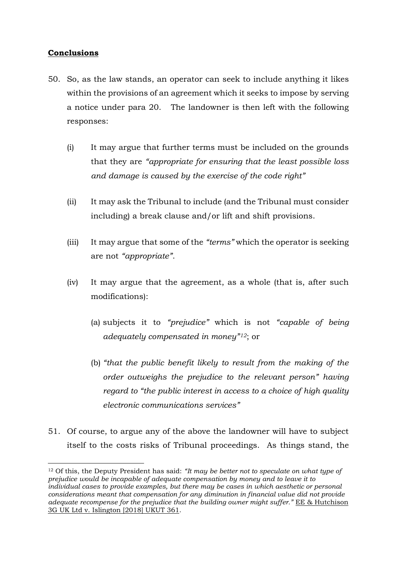### **Conclusions**

**.** 

- 50. So, as the law stands, an operator can seek to include anything it likes within the provisions of an agreement which it seeks to impose by serving a notice under para 20. The landowner is then left with the following responses:
	- (i) It may argue that further terms must be included on the grounds that they are *"appropriate for ensuring that the least possible loss and damage is caused by the exercise of the code right"*
	- (ii) It may ask the Tribunal to include (and the Tribunal must consider including) a break clause and/or lift and shift provisions.
	- (iii) It may argue that some of the *"terms"* which the operator is seeking are not *"appropriate"*.
	- (iv) It may argue that the agreement, as a whole (that is, after such modifications):
		- (a) subjects it to *"prejudice"* which is not *"capable of being adequately compensated in money"12*; or
		- (b) *"that the public benefit likely to result from the making of the order outweighs the prejudice to the relevant person" having regard to "the public interest in access to a choice of high quality electronic communications services"*
- 51. Of course, to argue any of the above the landowner will have to subject itself to the costs risks of Tribunal proceedings. As things stand, the

<sup>12</sup> Of this, the Deputy President has said: *"It may be better not to speculate on what type of prejudice would be incapable of adequate compensation by money and to leave it to individual cases to provide examples, but there may be cases in which aesthetic or personal considerations meant that compensation for any diminution in financial value did not provide*  adequate recompense for the prejudice that the building owner might suffer." EE & Hutchison 3G UK Ltd v. Islington [2018] UKUT 361.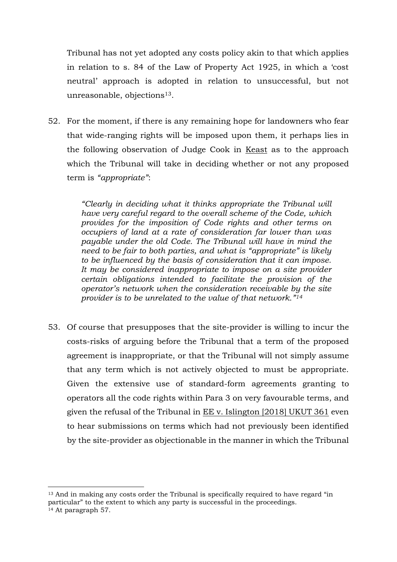Tribunal has not yet adopted any costs policy akin to that which applies in relation to s. 84 of the Law of Property Act 1925, in which a 'cost neutral' approach is adopted in relation to unsuccessful, but not unreasonable, objections<sup>13</sup>.

52. For the moment, if there is any remaining hope for landowners who fear that wide-ranging rights will be imposed upon them, it perhaps lies in the following observation of Judge Cook in Keast as to the approach which the Tribunal will take in deciding whether or not any proposed term is *"appropriate"*:

> *"Clearly in deciding what it thinks appropriate the Tribunal will have very careful regard to the overall scheme of the Code, which provides for the imposition of Code rights and other terms on occupiers of land at a rate of consideration far lower than was payable under the old Code. The Tribunal will have in mind the need to be fair to both parties, and what is "appropriate" is likely to be influenced by the basis of consideration that it can impose. It may be considered inappropriate to impose on a site provider certain obligations intended to facilitate the provision of the operator's network when the consideration receivable by the site provider is to be unrelated to the value of that network." 14*

53. Of course that presupposes that the site-provider is willing to incur the costs-risks of arguing before the Tribunal that a term of the proposed agreement is inappropriate, or that the Tribunal will not simply assume that any term which is not actively objected to must be appropriate. Given the extensive use of standard-form agreements granting to operators all the code rights within Para 3 on very favourable terms, and given the refusal of the Tribunal in EE v. Islington [2018] UKUT 361 even to hear submissions on terms which had not previously been identified by the site-provider as objectionable in the manner in which the Tribunal

**.** 

<sup>13</sup> And in making any costs order the Tribunal is specifically required to have regard "in particular" to the extent to which any party is successful in the proceedings. <sup>14</sup> At paragraph 57.